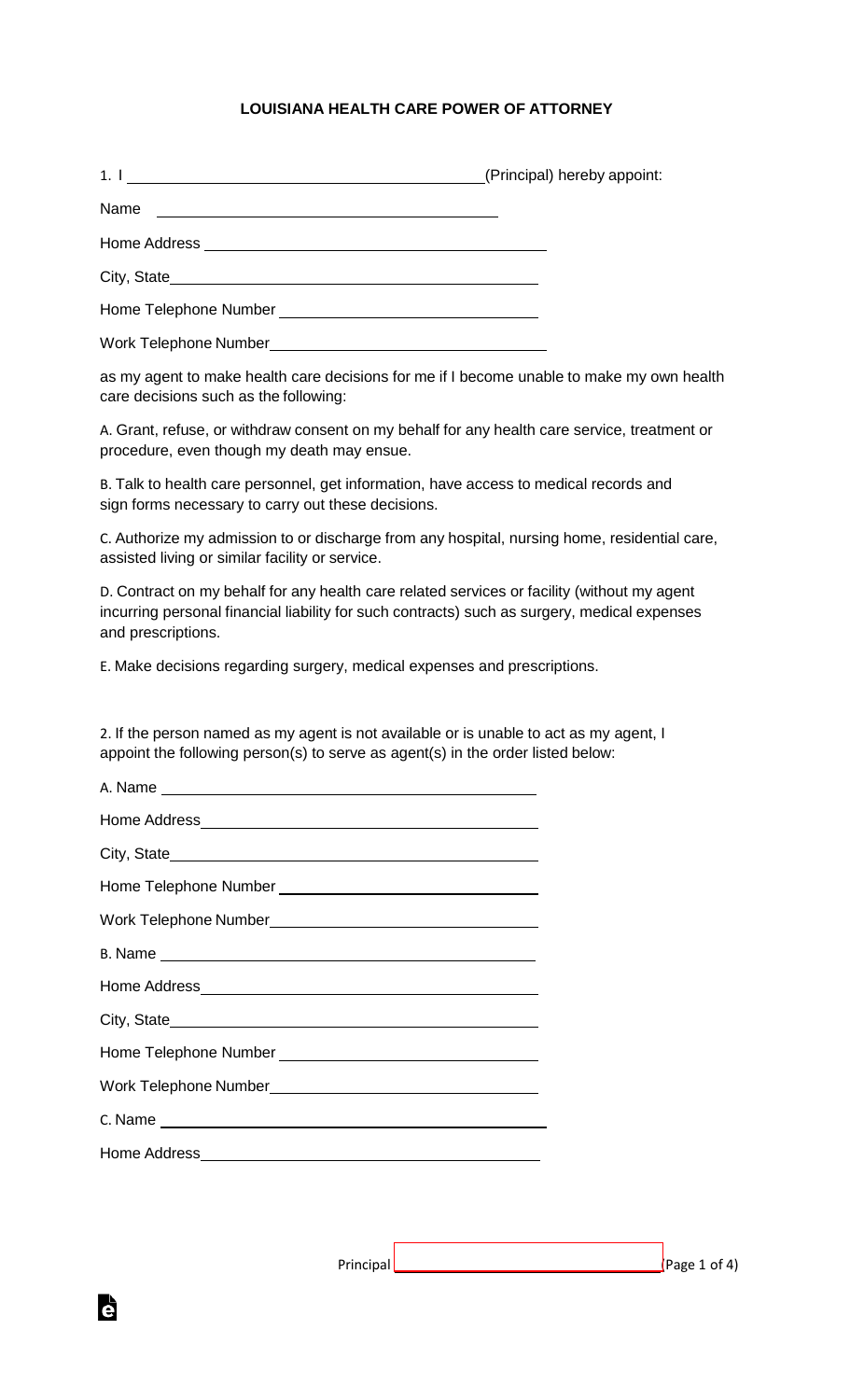## **LOUISIANA HEALTH CARE POWER OF ATTORNEY**

1. I Letter the contract of the contract of the contract of the contract of the contract of the contract of the contract of the contract of the contract of the contract of the contract of the contract of the contract of th

Home Address \_\_\_\_\_\_\_\_\_\_\_\_\_\_

City, State

Home Telephone Number

Work Telephone Number\_\_\_\_\_\_\_

Name

as my agent to make health care decisions for me if I become unable to make my own health care decisions such as the following:

A. Grant, refuse, or withdraw consent on my behalf for any health care service, treatment or procedure, even though my death may ensue.

B. Talk to health care personnel, get information, have access to medical records and sign forms necessary to carry out these decisions.

C. Authorize my admission to or discharge from any hospital, nursing home, residential care, assisted living or similar facility or service.

D. Contract on my behalf for any health care related services or facility (without my agent incurring personal financial liability for such contracts) such as surgery, medical expenses and prescriptions.

E. Make decisions regarding surgery, medical expenses and prescriptions.

2. If the person named as my agent is not available or is unable to act as my agent, I appoint the following person(s) to serve as agent(s) in the order listed below:



A. Name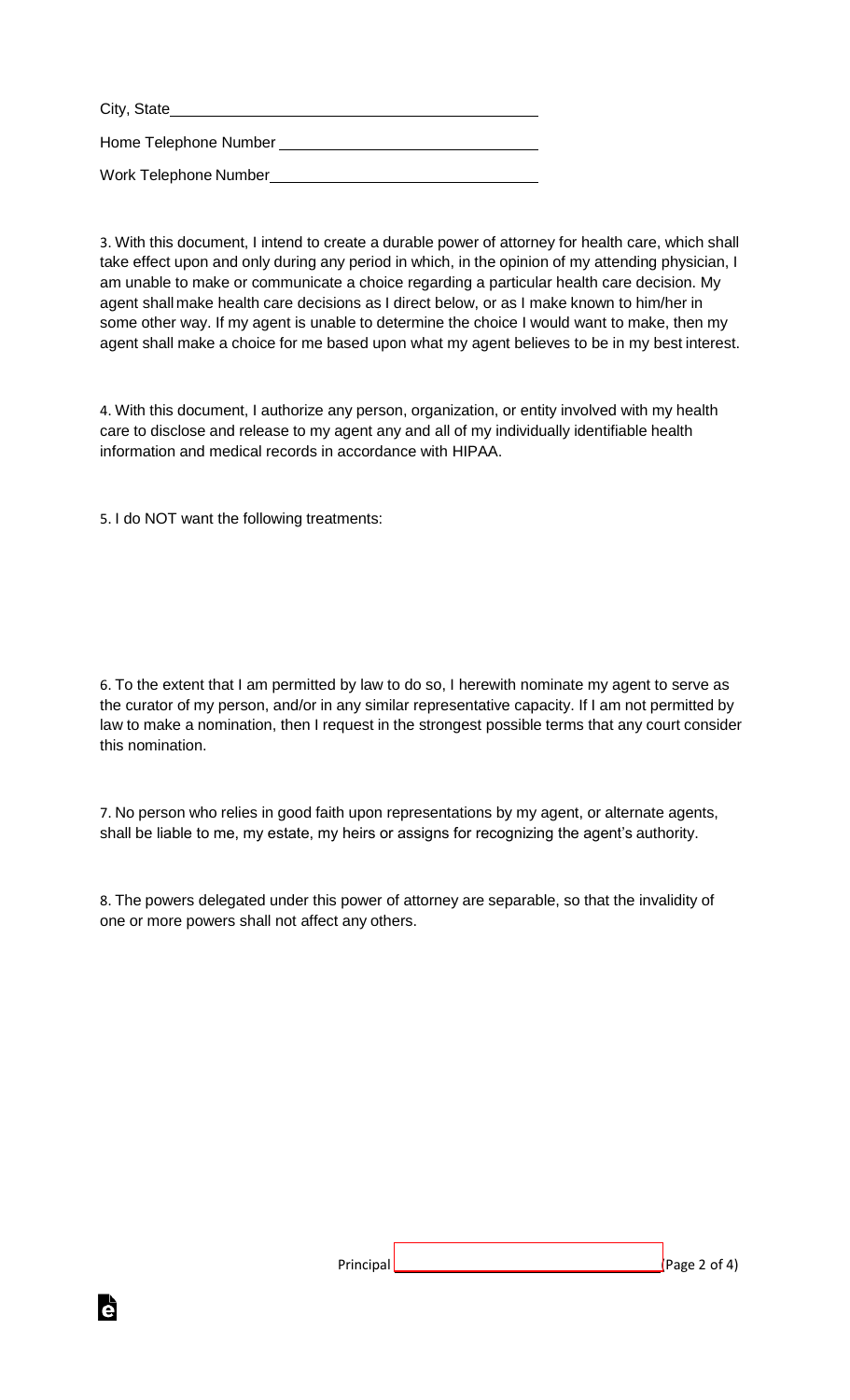City, State Home Telephone Number Work Telephone Number

3. With this document, I intend to create a durable power of attorney for health care, which shall take effect upon and only during any period in which, in the opinion of my attending physician, I am unable to make or communicate a choice regarding a particular health care decision. My agent shall make health care decisions as I direct below, or as I make known to him/her in some other way. If my agent is unable to determine the choice I would want to make, then my agent shall make a choice for me based upon what my agent believes to be in my best interest.

4. With this document, I authorize any person, organization, or entity involved with my health care to disclose and release to my agent any and all of my individually identifiable health information and medical records in accordance with HIPAA.

5. I do NOT want the following treatments:

6. To the extent that I am permitted by law to do so, I herewith nominate my agent to serve as the curator of my person, and/or in any similar representative capacity. If I am not permitted by law to make a nomination, then I request in the strongest possible terms that any court consider this nomination.

7. No person who relies in good faith upon representations by my agent, or alternate agents, shall be liable to me, my estate, my heirs or assigns for recognizing the agent's authority.

8. The powers delegated under this power of attorney are separable, so that the invalidity of one or more powers shall not affect any others.

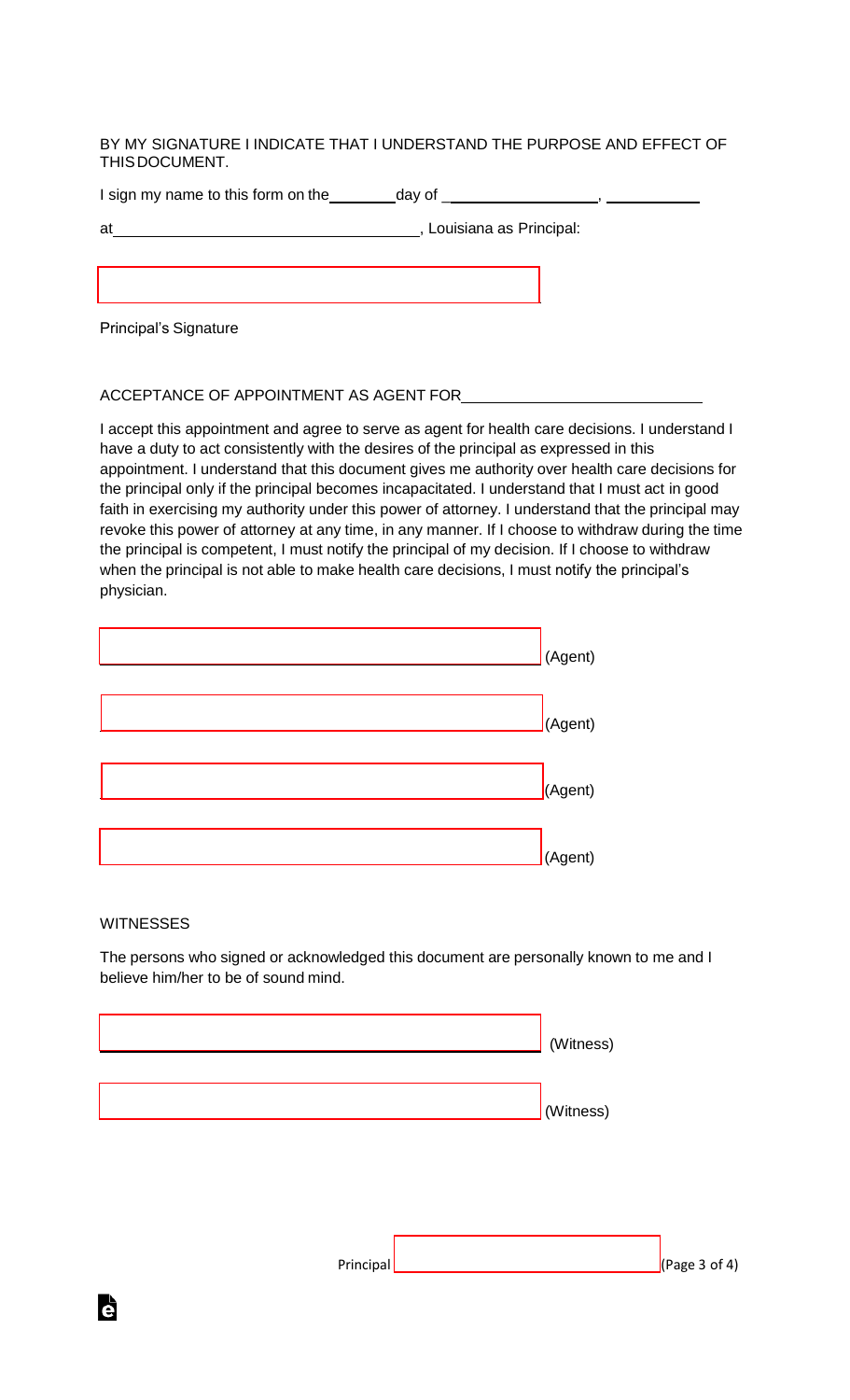BY MY SIGNATURE I INDICATE THAT I UNDERSTAND THE PURPOSE AND EFFECT OF THISDOCUMENT.

I sign my name to this form on the day of \_ ,

| ï      |  |
|--------|--|
| ×<br>× |  |

**EXECUTE:** Louisiana as Principal:

Principal's Signature

## ACCEPTANCE OF APPOINTMENT AS AGENT FOR

I accept this appointment and agree to serve as agent for health care decisions. I understand I have a duty to act consistently with the desires of the principal as expressed in this appointment. I understand that this document gives me authority over health care decisions for the principal only if the principal becomes incapacitated. I understand that I must act in good faith in exercising my authority under this power of attorney. I understand that the principal may revoke this power of attorney at any time, in any manner. If I choose to withdraw during the time the principal is competent, I must notify the principal of my decision. If I choose to withdraw when the principal is not able to make health care decisions, I must notify the principal's physician.

| (Agent) |
|---------|
| (Agent) |
| (Agent) |
| (Agent) |

## **WITNESSES**

Ġ

The persons who signed or acknowledged this document are personally known to me and I believe him/her to be of sound mind.

| (Witness) |  |
|-----------|--|
|           |  |
| (Witness) |  |